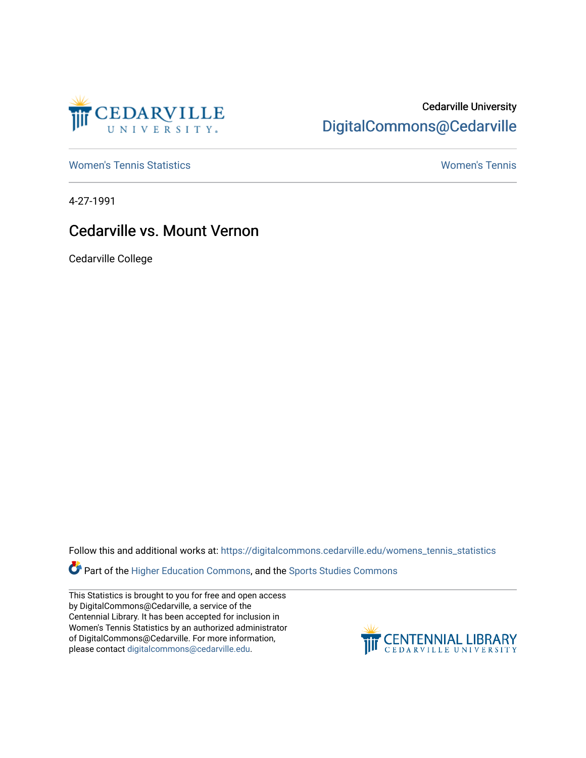

## Cedarville University [DigitalCommons@Cedarville](https://digitalcommons.cedarville.edu/)

[Women's Tennis Statistics](https://digitalcommons.cedarville.edu/womens_tennis_statistics) [Women's Tennis](https://digitalcommons.cedarville.edu/womens_tennis) 

4-27-1991

## Cedarville vs. Mount Vernon

Cedarville College

Follow this and additional works at: [https://digitalcommons.cedarville.edu/womens\\_tennis\\_statistics](https://digitalcommons.cedarville.edu/womens_tennis_statistics?utm_source=digitalcommons.cedarville.edu%2Fwomens_tennis_statistics%2F132&utm_medium=PDF&utm_campaign=PDFCoverPages) 

**Part of the [Higher Education Commons,](http://network.bepress.com/hgg/discipline/1245?utm_source=digitalcommons.cedarville.edu%2Fwomens_tennis_statistics%2F132&utm_medium=PDF&utm_campaign=PDFCoverPages) and the Sports Studies Commons** 

This Statistics is brought to you for free and open access by DigitalCommons@Cedarville, a service of the Centennial Library. It has been accepted for inclusion in Women's Tennis Statistics by an authorized administrator of DigitalCommons@Cedarville. For more information, please contact [digitalcommons@cedarville.edu](mailto:digitalcommons@cedarville.edu).